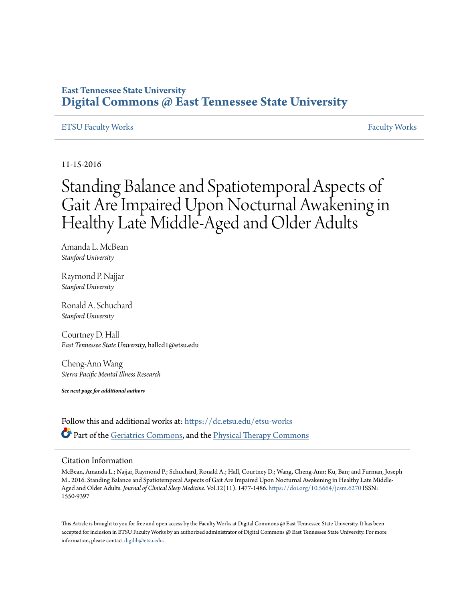## **East Tennessee State University [Digital Commons @ East Tennessee State University](https://dc.etsu.edu?utm_source=dc.etsu.edu%2Fetsu-works%2F555&utm_medium=PDF&utm_campaign=PDFCoverPages)**

#### [ETSU Faculty Works](https://dc.etsu.edu/etsu-works?utm_source=dc.etsu.edu%2Fetsu-works%2F555&utm_medium=PDF&utm_campaign=PDFCoverPages) [Faculty Works](https://dc.etsu.edu/faculty-works?utm_source=dc.etsu.edu%2Fetsu-works%2F555&utm_medium=PDF&utm_campaign=PDFCoverPages) Faculty Works Faculty Works Faculty Works Faculty Works Faculty Works Faculty Works Faculty Morks Faculty Morks Faculty Morks Faculty Morks Faculty Morks Faculty Morks Faculty Morks Faculty

11-15-2016

# Standing Balance and Spatiotemporal Aspects of Gait Are Impaired Upon Nocturnal Awakening in Healthy Late Middle-Aged and Older Adults

Amanda L. McBean *Stanford University*

Raymond P. Najjar *Stanford University*

Ronald A. Schuchard *Stanford University*

Courtney D. Hall *East Tennessee State University*, hallcd1@etsu.edu

Cheng-Ann Wang *Sierra Pacific Mental Illness Research*

*See next page for additional authors*

Follow this and additional works at: [https://dc.etsu.edu/etsu-works](https://dc.etsu.edu/etsu-works?utm_source=dc.etsu.edu%2Fetsu-works%2F555&utm_medium=PDF&utm_campaign=PDFCoverPages) Part of the [Geriatrics Commons](http://network.bepress.com/hgg/discipline/688?utm_source=dc.etsu.edu%2Fetsu-works%2F555&utm_medium=PDF&utm_campaign=PDFCoverPages), and the [Physical Therapy Commons](http://network.bepress.com/hgg/discipline/754?utm_source=dc.etsu.edu%2Fetsu-works%2F555&utm_medium=PDF&utm_campaign=PDFCoverPages)

#### Citation Information

McBean, Amanda L.; Najjar, Raymond P.; Schuchard, Ronald A.; Hall, Courtney D.; Wang, Cheng-Ann; Ku, Ban; and Furman, Joseph M.. 2016. Standing Balance and Spatiotemporal Aspects of Gait Are Impaired Upon Nocturnal Awakening in Healthy Late Middle-Aged and Older Adults. *Journal of Clinical Sleep Medicine*. Vol.12(11). 1477-1486. <https://doi.org/10.5664/jcsm.6270> ISSN: 1550-9397

This Article is brought to you for free and open access by the Faculty Works at Digital Commons @ East Tennessee State University. It has been accepted for inclusion in ETSU Faculty Works by an authorized administrator of Digital Commons @ East Tennessee State University. For more information, please contact [digilib@etsu.edu.](mailto:digilib@etsu.edu)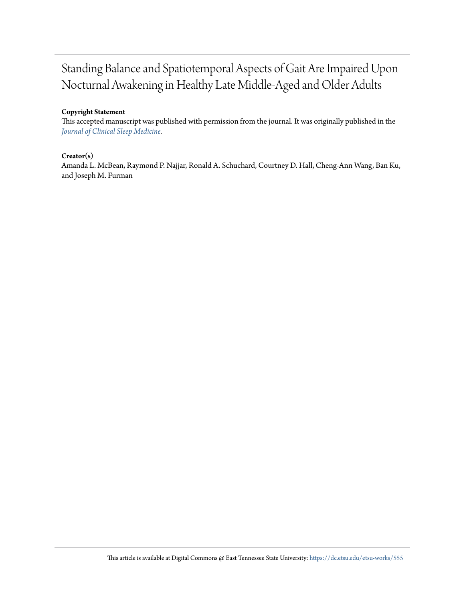## Standing Balance and Spatiotemporal Aspects of Gait Are Impaired Upon Nocturnal Awakening in Healthy Late Middle-Aged and Older Adults

#### **Copyright Statement**

This accepted manuscript was published with permission from the journal. It was originally published in the *[Journal of Clinical Sleep Medicine.](https://doi.org/10.5664/jcsm.6270)*

#### **Creator(s)**

Amanda L. McBean, Raymond P. Najjar, Ronald A. Schuchard, Courtney D. Hall, Cheng-Ann Wang, Ban Ku, and Joseph M. Furman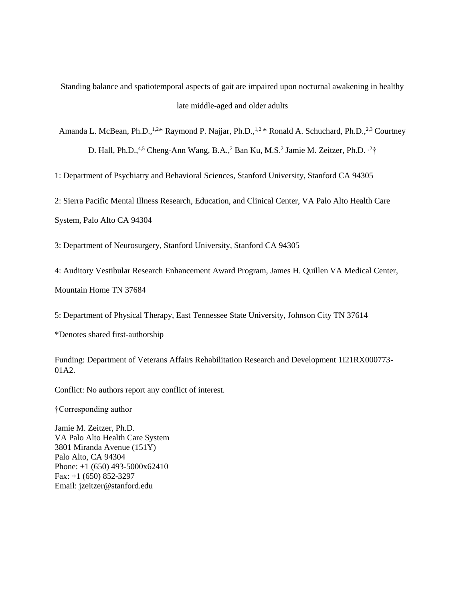Standing balance and spatiotemporal aspects of gait are impaired upon nocturnal awakening in healthy late middle-aged and older adults

Amanda L. McBean, Ph.D.,<sup>1,2\*</sup> Raymond P. Najjar, Ph.D.,<sup>1,2\*</sup> Ronald A. Schuchard, Ph.D.,<sup>2,3</sup> Courtney D. Hall, Ph.D.,<sup>4,5</sup> Cheng-Ann Wang, B.A.,<sup>2</sup> Ban Ku, M.S.<sup>2</sup> Jamie M. Zeitzer, Ph.D.<sup>1,2+</sup>†

1: Department of Psychiatry and Behavioral Sciences, Stanford University, Stanford CA 94305

2: Sierra Pacific Mental Illness Research, Education, and Clinical Center, VA Palo Alto Health Care System, Palo Alto CA 94304

3: Department of Neurosurgery, Stanford University, Stanford CA 94305

4: Auditory Vestibular Research Enhancement Award Program, James H. Quillen VA Medical Center,

Mountain Home TN 37684

5: Department of Physical Therapy, East Tennessee State University, Johnson City TN 37614

\*Denotes shared first-authorship

Funding: Department of Veterans Affairs Rehabilitation Research and Development 1I21RX000773- 01A2.

Conflict: No authors report any conflict of interest.

†Corresponding author

Jamie M. Zeitzer, Ph.D. VA Palo Alto Health Care System 3801 Miranda Avenue (151Y) Palo Alto, CA 94304 Phone: +1 (650) 493-5000x62410 Fax: +1 (650) 852-3297 Email: jzeitzer@stanford.edu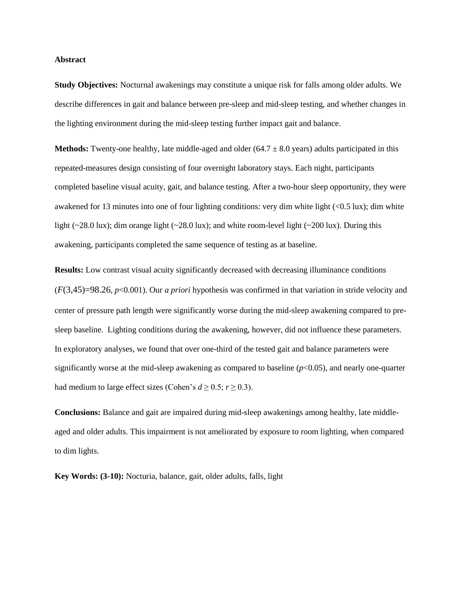#### **Abstract**

**Study Objectives:** Nocturnal awakenings may constitute a unique risk for falls among older adults. We describe differences in gait and balance between pre-sleep and mid-sleep testing, and whether changes in the lighting environment during the mid-sleep testing further impact gait and balance.

**Methods:** Twenty-one healthy, late middle-aged and older  $(64.7 \pm 8.0 \text{ years})$  adults participated in this repeated-measures design consisting of four overnight laboratory stays. Each night, participants completed baseline visual acuity, gait, and balance testing. After a two-hour sleep opportunity, they were awakened for 13 minutes into one of four lighting conditions: very dim white light (<0.5 lux); dim white light (~28.0 lux); dim orange light (~28.0 lux); and white room-level light (~200 lux). During this awakening, participants completed the same sequence of testing as at baseline.

**Results:** Low contrast visual acuity significantly decreased with decreasing illuminance conditions (*F*(3,45)=98.26, *p*<0.001). Our *a priori* hypothesis was confirmed in that variation in stride velocity and center of pressure path length were significantly worse during the mid-sleep awakening compared to presleep baseline. Lighting conditions during the awakening, however, did not influence these parameters. In exploratory analyses, we found that over one-third of the tested gait and balance parameters were significantly worse at the mid-sleep awakening as compared to baseline (*p*<0.05), and nearly one-quarter had medium to large effect sizes (Cohen's  $d \ge 0.5$ ;  $r \ge 0.3$ ).

**Conclusions:** Balance and gait are impaired during mid-sleep awakenings among healthy, late middleaged and older adults. This impairment is not ameliorated by exposure to room lighting, when compared to dim lights.

**Key Words: (3-10):** Nocturia, balance, gait, older adults, falls, light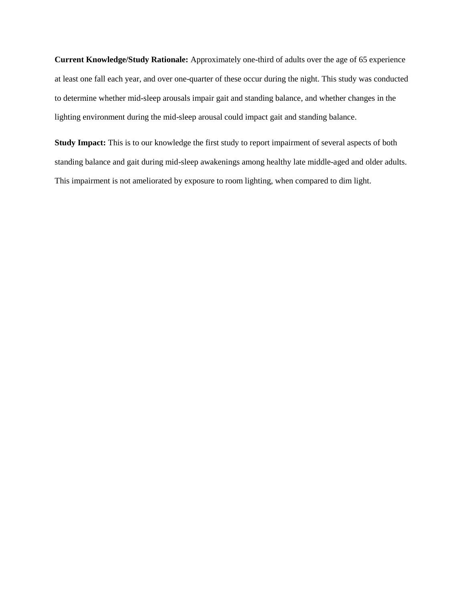**Current Knowledge/Study Rationale:** Approximately one-third of adults over the age of 65 experience at least one fall each year, and over one-quarter of these occur during the night. This study was conducted to determine whether mid-sleep arousals impair gait and standing balance, and whether changes in the lighting environment during the mid-sleep arousal could impact gait and standing balance.

**Study Impact:** This is to our knowledge the first study to report impairment of several aspects of both standing balance and gait during mid-sleep awakenings among healthy late middle-aged and older adults. This impairment is not ameliorated by exposure to room lighting, when compared to dim light.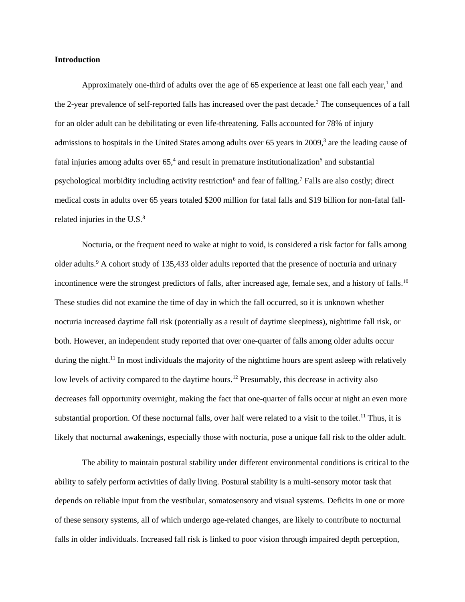#### **Introduction**

Approximately one-third of adults over the age of 65 experience at least one fall each year,<sup>1</sup> and the 2-year prevalence of self-reported falls has increased over the past decade. <sup>2</sup> The consequences of a fall for an older adult can be debilitating or even life-threatening. Falls accounted for 78% of injury admissions to hospitals in the United States among adults over 65 years in 2009,<sup>3</sup> are the leading cause of fatal injuries among adults over 65,<sup>4</sup> and result in premature institutionalization<sup>5</sup> and substantial psychological morbidity including activity restriction<sup>6</sup> and fear of falling.<sup>7</sup> Falls are also costly; direct medical costs in adults over 65 years totaled \$200 million for fatal falls and \$19 billion for non-fatal fallrelated injuries in the U.S.<sup>8</sup>

Nocturia, or the frequent need to wake at night to void, is considered a risk factor for falls among older adults.<sup>9</sup> A cohort study of 135,433 older adults reported that the presence of nocturia and urinary incontinence were the strongest predictors of falls, after increased age, female sex, and a history of falls.<sup>10</sup> These studies did not examine the time of day in which the fall occurred, so it is unknown whether nocturia increased daytime fall risk (potentially as a result of daytime sleepiness), nighttime fall risk, or both. However, an independent study reported that over one-quarter of falls among older adults occur during the night.<sup>11</sup> In most individuals the majority of the nighttime hours are spent asleep with relatively low levels of activity compared to the daytime hours.<sup>12</sup> Presumably, this decrease in activity also decreases fall opportunity overnight, making the fact that one-quarter of falls occur at night an even more substantial proportion. Of these nocturnal falls, over half were related to a visit to the toilet.<sup>11</sup> Thus, it is likely that nocturnal awakenings, especially those with nocturia, pose a unique fall risk to the older adult.

The ability to maintain postural stability under different environmental conditions is critical to the ability to safely perform activities of daily living. Postural stability is a multi-sensory motor task that depends on reliable input from the vestibular, somatosensory and visual systems. Deficits in one or more of these sensory systems, all of which undergo age-related changes, are likely to contribute to nocturnal falls in older individuals. Increased fall risk is linked to poor vision through impaired depth perception,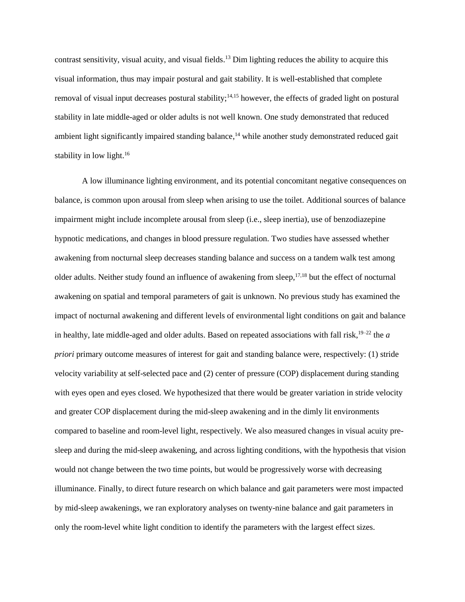contrast sensitivity, visual acuity, and visual fields. <sup>13</sup> Dim lighting reduces the ability to acquire this visual information, thus may impair postural and gait stability. It is well-established that complete removal of visual input decreases postural stability;<sup>14,15</sup> however, the effects of graded light on postural stability in late middle-aged or older adults is not well known. One study demonstrated that reduced ambient light significantly impaired standing balance,<sup>14</sup> while another study demonstrated reduced gait stability in low light.<sup>16</sup>

A low illuminance lighting environment, and its potential concomitant negative consequences on balance, is common upon arousal from sleep when arising to use the toilet. Additional sources of balance impairment might include incomplete arousal from sleep (i.e., sleep inertia), use of benzodiazepine hypnotic medications, and changes in blood pressure regulation. Two studies have assessed whether awakening from nocturnal sleep decreases standing balance and success on a tandem walk test among older adults. Neither study found an influence of awakening from sleep,<sup>17,18</sup> but the effect of nocturnal awakening on spatial and temporal parameters of gait is unknown. No previous study has examined the impact of nocturnal awakening and different levels of environmental light conditions on gait and balance in healthy, late middle-aged and older adults. Based on repeated associations with fall risk,  $19-22$  the *a priori* primary outcome measures of interest for gait and standing balance were, respectively: (1) stride velocity variability at self-selected pace and (2) center of pressure (COP) displacement during standing with eyes open and eyes closed. We hypothesized that there would be greater variation in stride velocity and greater COP displacement during the mid-sleep awakening and in the dimly lit environments compared to baseline and room-level light, respectively. We also measured changes in visual acuity presleep and during the mid-sleep awakening, and across lighting conditions, with the hypothesis that vision would not change between the two time points, but would be progressively worse with decreasing illuminance. Finally, to direct future research on which balance and gait parameters were most impacted by mid-sleep awakenings, we ran exploratory analyses on twenty-nine balance and gait parameters in only the room-level white light condition to identify the parameters with the largest effect sizes.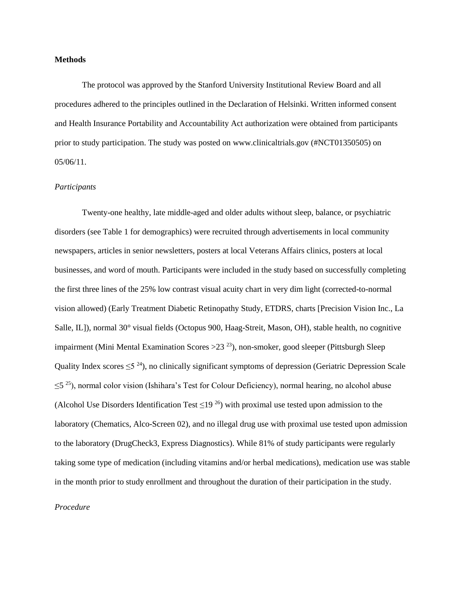#### **Methods**

The protocol was approved by the Stanford University Institutional Review Board and all procedures adhered to the principles outlined in the Declaration of Helsinki. Written informed consent and Health Insurance Portability and Accountability Act authorization were obtained from participants prior to study participation. The study was posted on www.clinicaltrials.gov (#NCT01350505) on 05/06/11.

#### *Participants*

Twenty-one healthy, late middle-aged and older adults without sleep, balance, or psychiatric disorders (see Table 1 for demographics) were recruited through advertisements in local community newspapers, articles in senior newsletters, posters at local Veterans Affairs clinics, posters at local businesses, and word of mouth. Participants were included in the study based on successfully completing the first three lines of the 25% low contrast visual acuity chart in very dim light (corrected-to-normal vision allowed) (Early Treatment Diabetic Retinopathy Study, ETDRS, charts [Precision Vision Inc., La Salle, IL]), normal 30° visual fields (Octopus 900, Haag-Streit, Mason, OH), stable health, no cognitive impairment (Mini Mental Examination Scores  $>$  23<sup>23</sup>), non-smoker, good sleeper (Pittsburgh Sleep Quality Index scores  $\leq 5^{24}$ ), no clinically significant symptoms of depression (Geriatric Depression Scale  $\leq$ 5<sup>25</sup>), normal color vision (Ishihara's Test for Colour Deficiency), normal hearing, no alcohol abuse (Alcohol Use Disorders Identification Test  $\leq$ 19<sup>26</sup>) with proximal use tested upon admission to the laboratory (Chematics, Alco-Screen 02), and no illegal drug use with proximal use tested upon admission to the laboratory (DrugCheck3, Express Diagnostics). While 81% of study participants were regularly taking some type of medication (including vitamins and/or herbal medications), medication use was stable in the month prior to study enrollment and throughout the duration of their participation in the study.

#### *Procedure*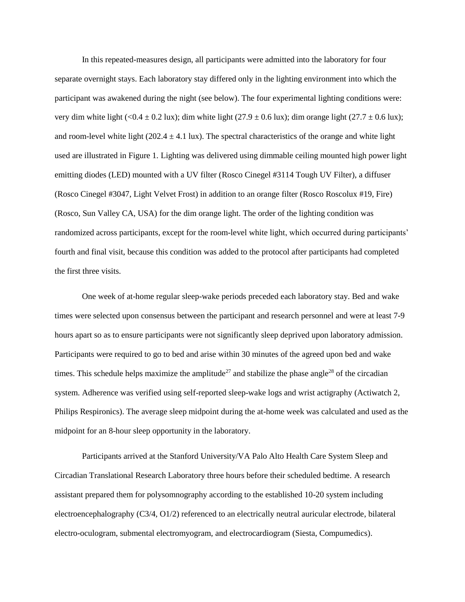In this repeated-measures design, all participants were admitted into the laboratory for four separate overnight stays. Each laboratory stay differed only in the lighting environment into which the participant was awakened during the night (see below). The four experimental lighting conditions were: very dim white light (<0.4 ± 0.2 lux); dim white light (27.9 ± 0.6 lux); dim orange light (27.7 ± 0.6 lux); and room-level white light  $(202.4 \pm 4.1 \text{ lux})$ . The spectral characteristics of the orange and white light used are illustrated in Figure 1*.* Lighting was delivered using dimmable ceiling mounted high power light emitting diodes (LED) mounted with a UV filter (Rosco Cinegel #3114 Tough UV Filter), a diffuser (Rosco Cinegel #3047, Light Velvet Frost) in addition to an orange filter (Rosco Roscolux #19, Fire) (Rosco, Sun Valley CA, USA) for the dim orange light. The order of the lighting condition was randomized across participants, except for the room-level white light, which occurred during participants' fourth and final visit, because this condition was added to the protocol after participants had completed the first three visits.

One week of at-home regular sleep-wake periods preceded each laboratory stay. Bed and wake times were selected upon consensus between the participant and research personnel and were at least 7-9 hours apart so as to ensure participants were not significantly sleep deprived upon laboratory admission. Participants were required to go to bed and arise within 30 minutes of the agreed upon bed and wake times. This schedule helps maximize the amplitude<sup>27</sup> and stabilize the phase angle<sup>28</sup> of the circadian system. Adherence was verified using self-reported sleep-wake logs and wrist actigraphy (Actiwatch 2, Philips Respironics). The average sleep midpoint during the at-home week was calculated and used as the midpoint for an 8-hour sleep opportunity in the laboratory.

Participants arrived at the Stanford University/VA Palo Alto Health Care System Sleep and Circadian Translational Research Laboratory three hours before their scheduled bedtime. A research assistant prepared them for polysomnography according to the established 10-20 system including electroencephalography (C3/4, O1/2) referenced to an electrically neutral auricular electrode, bilateral electro-oculogram, submental electromyogram, and electrocardiogram (Siesta, Compumedics).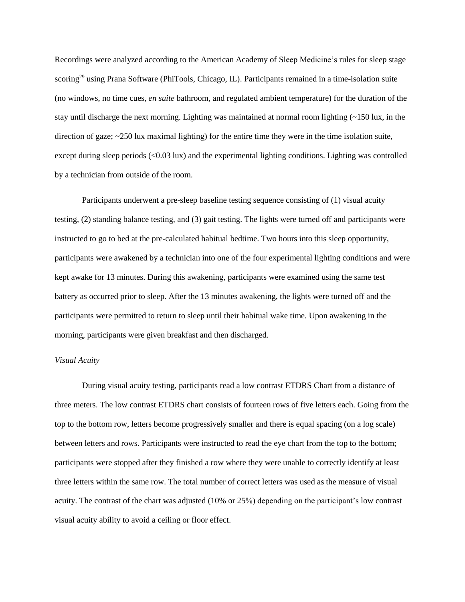Recordings were analyzed according to the American Academy of Sleep Medicine's rules for sleep stage scoring<sup>29</sup> using Prana Software (PhiTools, Chicago, IL). Participants remained in a time-isolation suite (no windows, no time cues, *en suite* bathroom, and regulated ambient temperature) for the duration of the stay until discharge the next morning. Lighting was maintained at normal room lighting (~150 lux, in the direction of gaze;  $\sim$ 250 lux maximal lighting) for the entire time they were in the time isolation suite, except during sleep periods (<0.03 lux) and the experimental lighting conditions. Lighting was controlled by a technician from outside of the room.

Participants underwent a pre-sleep baseline testing sequence consisting of (1) visual acuity testing, (2) standing balance testing, and (3) gait testing. The lights were turned off and participants were instructed to go to bed at the pre-calculated habitual bedtime. Two hours into this sleep opportunity, participants were awakened by a technician into one of the four experimental lighting conditions and were kept awake for 13 minutes. During this awakening, participants were examined using the same test battery as occurred prior to sleep. After the 13 minutes awakening, the lights were turned off and the participants were permitted to return to sleep until their habitual wake time. Upon awakening in the morning, participants were given breakfast and then discharged.

#### *Visual Acuity*

During visual acuity testing, participants read a low contrast ETDRS Chart from a distance of three meters. The low contrast ETDRS chart consists of fourteen rows of five letters each. Going from the top to the bottom row, letters become progressively smaller and there is equal spacing (on a log scale) between letters and rows. Participants were instructed to read the eye chart from the top to the bottom; participants were stopped after they finished a row where they were unable to correctly identify at least three letters within the same row. The total number of correct letters was used as the measure of visual acuity. The contrast of the chart was adjusted (10% or 25%) depending on the participant's low contrast visual acuity ability to avoid a ceiling or floor effect.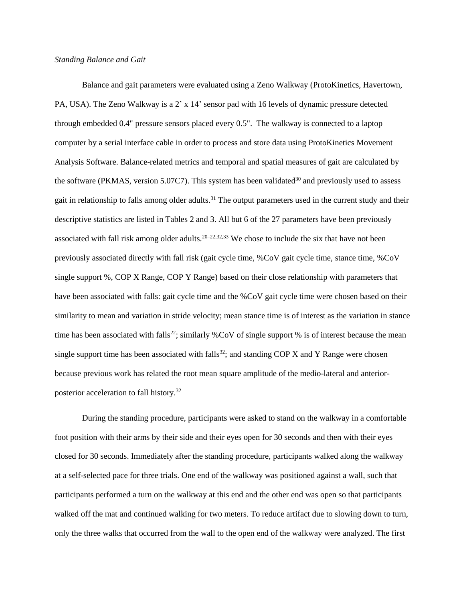#### *Standing Balance and Gait*

Balance and gait parameters were evaluated using a Zeno Walkway (ProtoKinetics, Havertown, PA, USA). The Zeno Walkway is a 2' x 14' sensor pad with 16 levels of dynamic pressure detected through embedded 0.4" pressure sensors placed every 0.5". The walkway is connected to a laptop computer by a serial interface cable in order to process and store data using ProtoKinetics Movement Analysis Software. Balance-related metrics and temporal and spatial measures of gait are calculated by the software (PKMAS, version 5.07C7). This system has been validated<sup>30</sup> and previously used to assess gait in relationship to falls among older adults.<sup>31</sup> The output parameters used in the current study and their descriptive statistics are listed in Tables 2 and 3. All but 6 of the 27 parameters have been previously associated with fall risk among older adults.<sup>20–22,32,33</sup> We chose to include the six that have not been previously associated directly with fall risk (gait cycle time, %CoV gait cycle time, stance time, %CoV single support %, COP X Range, COP Y Range) based on their close relationship with parameters that have been associated with falls: gait cycle time and the %CoV gait cycle time were chosen based on their similarity to mean and variation in stride velocity; mean stance time is of interest as the variation in stance time has been associated with falls<sup>22</sup>; similarly %CoV of single support % is of interest because the mean single support time has been associated with falls<sup>32</sup>; and standing COP X and Y Range were chosen because previous work has related the root mean square amplitude of the medio-lateral and anteriorposterior acceleration to fall history.<sup>32</sup>

During the standing procedure, participants were asked to stand on the walkway in a comfortable foot position with their arms by their side and their eyes open for 30 seconds and then with their eyes closed for 30 seconds. Immediately after the standing procedure, participants walked along the walkway at a self-selected pace for three trials. One end of the walkway was positioned against a wall, such that participants performed a turn on the walkway at this end and the other end was open so that participants walked off the mat and continued walking for two meters. To reduce artifact due to slowing down to turn, only the three walks that occurred from the wall to the open end of the walkway were analyzed. The first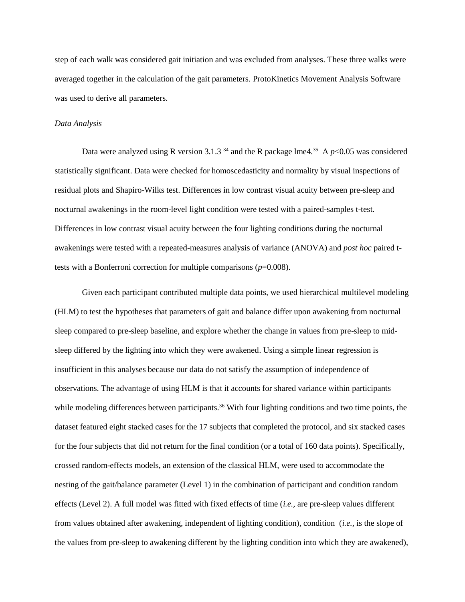step of each walk was considered gait initiation and was excluded from analyses. These three walks were averaged together in the calculation of the gait parameters. ProtoKinetics Movement Analysis Software was used to derive all parameters.

#### *Data Analysis*

Data were analyzed using R version 3.1.3<sup>34</sup> and the R package lme4.<sup>35</sup> A  $p$ <0.05 was considered statistically significant. Data were checked for homoscedasticity and normality by visual inspections of residual plots and Shapiro-Wilks test. Differences in low contrast visual acuity between pre-sleep and nocturnal awakenings in the room-level light condition were tested with a paired-samples t-test. Differences in low contrast visual acuity between the four lighting conditions during the nocturnal awakenings were tested with a repeated-measures analysis of variance (ANOVA) and *post hoc* paired ttests with a Bonferroni correction for multiple comparisons  $(p=0.008)$ .

Given each participant contributed multiple data points, we used hierarchical multilevel modeling (HLM) to test the hypotheses that parameters of gait and balance differ upon awakening from nocturnal sleep compared to pre-sleep baseline, and explore whether the change in values from pre-sleep to midsleep differed by the lighting into which they were awakened. Using a simple linear regression is insufficient in this analyses because our data do not satisfy the assumption of independence of observations. The advantage of using HLM is that it accounts for shared variance within participants while modeling differences between participants.<sup>36</sup> With four lighting conditions and two time points, the dataset featured eight stacked cases for the 17 subjects that completed the protocol, and six stacked cases for the four subjects that did not return for the final condition (or a total of 160 data points). Specifically, crossed random-effects models, an extension of the classical HLM, were used to accommodate the nesting of the gait/balance parameter (Level 1) in the combination of participant and condition random effects (Level 2). A full model was fitted with fixed effects of time (*i.e.,* are pre-sleep values different from values obtained after awakening, independent of lighting condition), condition (*i.e.,* is the slope of the values from pre-sleep to awakening different by the lighting condition into which they are awakened),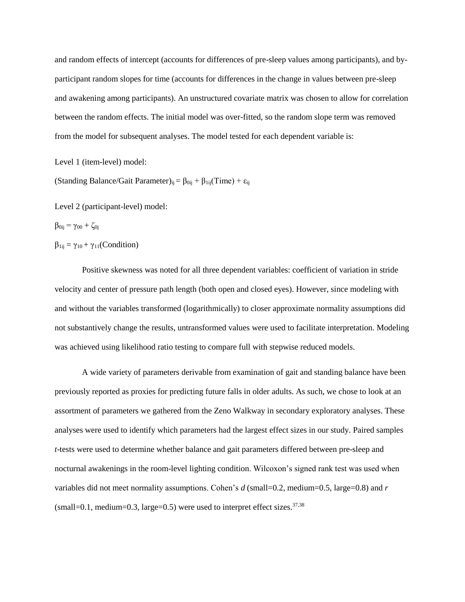and random effects of intercept (accounts for differences of pre-sleep values among participants), and byparticipant random slopes for time (accounts for differences in the change in values between pre-sleep and awakening among participants). An unstructured covariate matrix was chosen to allow for correlation between the random effects. The initial model was over-fitted, so the random slope term was removed from the model for subsequent analyses. The model tested for each dependent variable is:

Level 1 (item-level) model:

(Standing Balance/Gait Parameter)<sub>ij</sub> =  $\beta_{0ij} + \beta_{1ij}(Time) + \epsilon_{ij}$ 

Level 2 (participant-level) model:

$$
\beta_{0ij} = \gamma_{00} + \zeta_{0j}
$$

 $\beta_{1ij} = \gamma_{10} + \gamma_{11}$ (Condition)

Positive skewness was noted for all three dependent variables: coefficient of variation in stride velocity and center of pressure path length (both open and closed eyes). However, since modeling with and without the variables transformed (logarithmically) to closer approximate normality assumptions did not substantively change the results, untransformed values were used to facilitate interpretation. Modeling was achieved using likelihood ratio testing to compare full with stepwise reduced models.

A wide variety of parameters derivable from examination of gait and standing balance have been previously reported as proxies for predicting future falls in older adults. As such, we chose to look at an assortment of parameters we gathered from the Zeno Walkway in secondary exploratory analyses. These analyses were used to identify which parameters had the largest effect sizes in our study. Paired samples *t*-tests were used to determine whether balance and gait parameters differed between pre-sleep and nocturnal awakenings in the room-level lighting condition. Wilcoxon's signed rank test was used when variables did not meet normality assumptions. Cohen's *d* (small=0.2, medium=0.5, large=0.8) and *r*  $(small=0.1, medium=0.3, large=0.5)$  were used to interpret effect sizes.<sup>37,38</sup>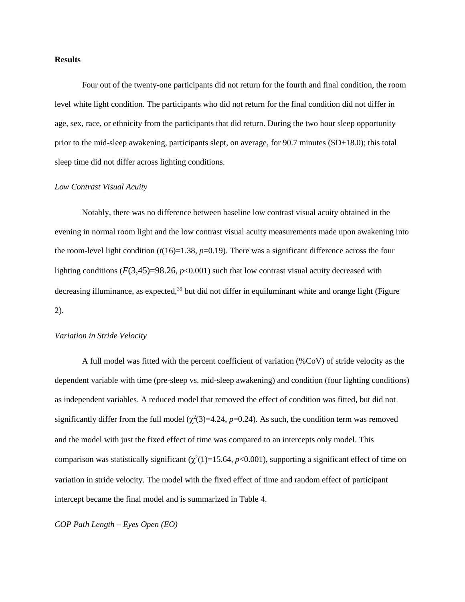#### **Results**

Four out of the twenty-one participants did not return for the fourth and final condition, the room level white light condition. The participants who did not return for the final condition did not differ in age, sex, race, or ethnicity from the participants that did return. During the two hour sleep opportunity prior to the mid-sleep awakening, participants slept, on average, for  $90.7$  minutes (SD $\pm$ 18.0); this total sleep time did not differ across lighting conditions.

#### *Low Contrast Visual Acuity*

Notably, there was no difference between baseline low contrast visual acuity obtained in the evening in normal room light and the low contrast visual acuity measurements made upon awakening into the room-level light condition  $(t(16)=1.38, p=0.19)$ . There was a significant difference across the four lighting conditions  $(F(3,45)=98.26, p<0.001)$  such that low contrast visual acuity decreased with decreasing illuminance, as expected,<sup>39</sup> but did not differ in equiluminant white and orange light (Figure 2).

#### *Variation in Stride Velocity*

A full model was fitted with the percent coefficient of variation (%CoV) of stride velocity as the dependent variable with time (pre-sleep vs. mid-sleep awakening) and condition (four lighting conditions) as independent variables. A reduced model that removed the effect of condition was fitted, but did not significantly differ from the full model  $(\chi^2(3)=4.24, p=0.24)$ . As such, the condition term was removed and the model with just the fixed effect of time was compared to an intercepts only model. This comparison was statistically significant  $(\chi^2(1)=15.64, p<0.001)$ , supporting a significant effect of time on variation in stride velocity. The model with the fixed effect of time and random effect of participant intercept became the final model and is summarized in Table 4.

#### *COP Path Length – Eyes Open (EO)*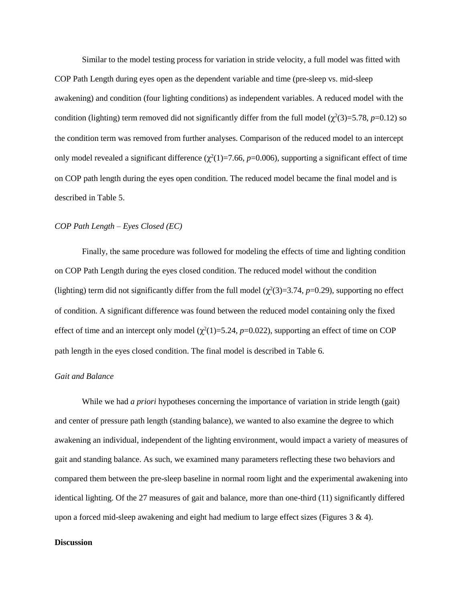Similar to the model testing process for variation in stride velocity, a full model was fitted with COP Path Length during eyes open as the dependent variable and time (pre-sleep vs. mid-sleep awakening) and condition (four lighting conditions) as independent variables. A reduced model with the condition (lighting) term removed did not significantly differ from the full model  $(\chi^2(3)=5.78, p=0.12)$  so the condition term was removed from further analyses. Comparison of the reduced model to an intercept only model revealed a significant difference  $(\chi^2(1)=7.66, p=0.006)$ , supporting a significant effect of time on COP path length during the eyes open condition. The reduced model became the final model and is described in Table 5.

#### *COP Path Length – Eyes Closed (EC)*

Finally, the same procedure was followed for modeling the effects of time and lighting condition on COP Path Length during the eyes closed condition. The reduced model without the condition (lighting) term did not significantly differ from the full model  $(\chi^2(3)=3.74, p=0.29)$ , supporting no effect of condition. A significant difference was found between the reduced model containing only the fixed effect of time and an intercept only model  $(\chi^2(1)=5.24, p=0.022)$ , supporting an effect of time on COP path length in the eyes closed condition. The final model is described in Table 6.

#### *Gait and Balance*

While we had *a priori* hypotheses concerning the importance of variation in stride length (gait) and center of pressure path length (standing balance), we wanted to also examine the degree to which awakening an individual, independent of the lighting environment, would impact a variety of measures of gait and standing balance. As such, we examined many parameters reflecting these two behaviors and compared them between the pre-sleep baseline in normal room light and the experimental awakening into identical lighting. Of the 27 measures of gait and balance, more than one-third (11) significantly differed upon a forced mid-sleep awakening and eight had medium to large effect sizes (Figures 3 & 4).

#### **Discussion**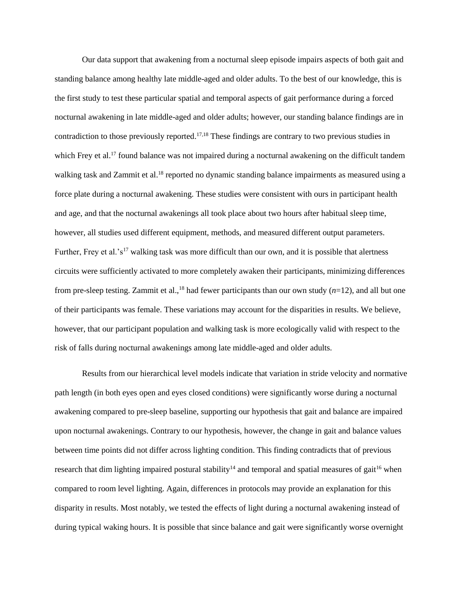Our data support that awakening from a nocturnal sleep episode impairs aspects of both gait and standing balance among healthy late middle-aged and older adults. To the best of our knowledge, this is the first study to test these particular spatial and temporal aspects of gait performance during a forced nocturnal awakening in late middle-aged and older adults; however, our standing balance findings are in contradiction to those previously reported.<sup>17,18</sup> These findings are contrary to two previous studies in which Frey et al.<sup>17</sup> found balance was not impaired during a nocturnal awakening on the difficult tandem walking task and Zammit et al.<sup>18</sup> reported no dynamic standing balance impairments as measured using a force plate during a nocturnal awakening. These studies were consistent with ours in participant health and age, and that the nocturnal awakenings all took place about two hours after habitual sleep time, however, all studies used different equipment, methods, and measured different output parameters. Further, Frey et al.'s<sup>17</sup> walking task was more difficult than our own, and it is possible that alertness circuits were sufficiently activated to more completely awaken their participants, minimizing differences from pre-sleep testing. Zammit et al.,<sup>18</sup> had fewer participants than our own study  $(n=12)$ , and all but one of their participants was female. These variations may account for the disparities in results. We believe, however, that our participant population and walking task is more ecologically valid with respect to the risk of falls during nocturnal awakenings among late middle-aged and older adults.

Results from our hierarchical level models indicate that variation in stride velocity and normative path length (in both eyes open and eyes closed conditions) were significantly worse during a nocturnal awakening compared to pre-sleep baseline, supporting our hypothesis that gait and balance are impaired upon nocturnal awakenings. Contrary to our hypothesis, however, the change in gait and balance values between time points did not differ across lighting condition. This finding contradicts that of previous research that dim lighting impaired postural stability<sup>14</sup> and temporal and spatial measures of gait<sup>16</sup> when compared to room level lighting. Again, differences in protocols may provide an explanation for this disparity in results. Most notably, we tested the effects of light during a nocturnal awakening instead of during typical waking hours. It is possible that since balance and gait were significantly worse overnight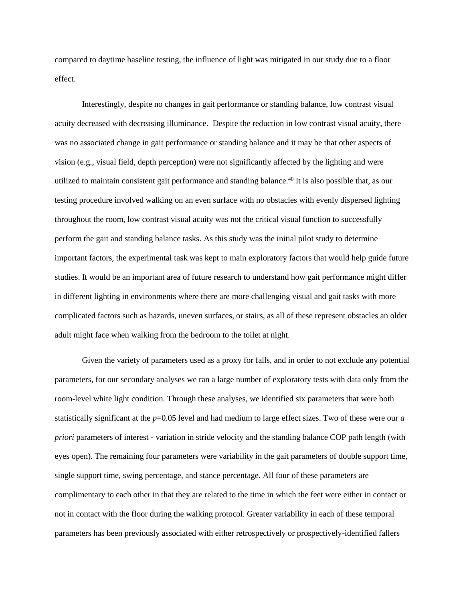compared to daytime baseline testing, the influence of light was mitigated in our study due to a floor effect.

Interestingly, despite no changes in gait performance or standing balance, low contrast visual acuity decreased with decreasing illuminance. Despite the reduction in low contrast visual acuity, there was no associated change in gait performance or standing balance and it may be that other aspects of vision (e.g., visual field, depth perception) were not significantly affected by the lighting and were utilized to maintain consistent gait performance and standing balance.<sup>40</sup> It is also possible that, as our testing procedure involved walking on an even surface with no obstacles with evenly dispersed lighting throughout the room, low contrast visual acuity was not the critical visual function to successfully perform the gait and standing balance tasks. As this study was the initial pilot study to determine important factors, the experimental task was kept to main exploratory factors that would help guide future studies. It would be an important area of future research to understand how gait performance might differ in different lighting in environments where there are more challenging visual and gait tasks with more complicated factors such as hazards, uneven surfaces, or stairs, as all of these represent obstacles an older adult might face when walking from the bedroom to the toilet at night.

Given the variety of parameters used as a proxy for falls, and in order to not exclude any potential parameters, for our secondary analyses we ran a large number of exploratory tests with data only from the room-level white light condition. Through these analyses, we identified six parameters that were both statistically significant at the  $p=0.05$  level and had medium to large effect sizes. Two of these were our *a priori* parameters of interest - variation in stride velocity and the standing balance COP path length (with eyes open). The remaining four parameters were variability in the gait parameters of double support time, single support time, swing percentage, and stance percentage. All four of these parameters are complimentary to each other in that they are related to the time in which the feet were either in contact or not in contact with the floor during the walking protocol. Greater variability in each of these temporal parameters has been previously associated with either retrospectively or prospectively-identified fallers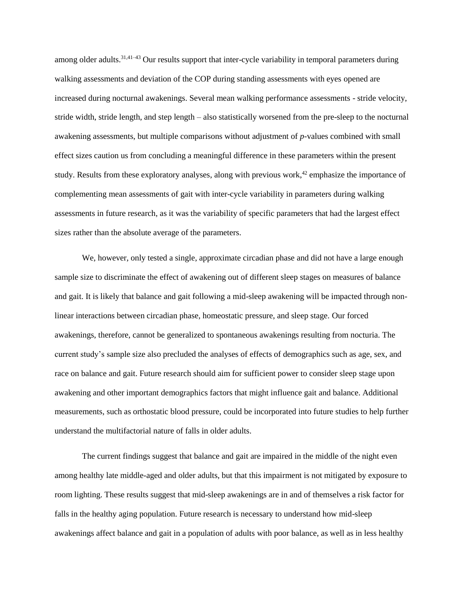among older adults.<sup>31,41–43</sup> Our results support that inter-cycle variability in temporal parameters during walking assessments and deviation of the COP during standing assessments with eyes opened are increased during nocturnal awakenings. Several mean walking performance assessments - stride velocity, stride width, stride length, and step length – also statistically worsened from the pre-sleep to the nocturnal awakening assessments, but multiple comparisons without adjustment of *p-*values combined with small effect sizes caution us from concluding a meaningful difference in these parameters within the present study. Results from these exploratory analyses, along with previous work,<sup>42</sup> emphasize the importance of complementing mean assessments of gait with inter-cycle variability in parameters during walking assessments in future research, as it was the variability of specific parameters that had the largest effect sizes rather than the absolute average of the parameters.

We, however, only tested a single, approximate circadian phase and did not have a large enough sample size to discriminate the effect of awakening out of different sleep stages on measures of balance and gait. It is likely that balance and gait following a mid-sleep awakening will be impacted through nonlinear interactions between circadian phase, homeostatic pressure, and sleep stage. Our forced awakenings, therefore, cannot be generalized to spontaneous awakenings resulting from nocturia. The current study's sample size also precluded the analyses of effects of demographics such as age, sex, and race on balance and gait. Future research should aim for sufficient power to consider sleep stage upon awakening and other important demographics factors that might influence gait and balance. Additional measurements, such as orthostatic blood pressure, could be incorporated into future studies to help further understand the multifactorial nature of falls in older adults.

The current findings suggest that balance and gait are impaired in the middle of the night even among healthy late middle-aged and older adults, but that this impairment is not mitigated by exposure to room lighting. These results suggest that mid-sleep awakenings are in and of themselves a risk factor for falls in the healthy aging population. Future research is necessary to understand how mid-sleep awakenings affect balance and gait in a population of adults with poor balance, as well as in less healthy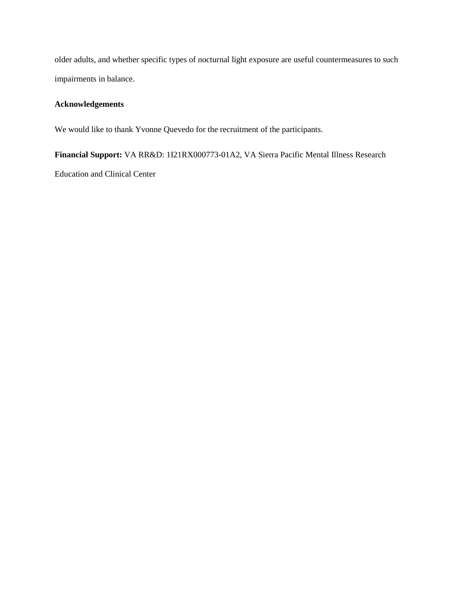older adults, and whether specific types of nocturnal light exposure are useful countermeasures to such impairments in balance.

### **Acknowledgements**

We would like to thank Yvonne Quevedo for the recruitment of the participants.

**Financial Support:** VA RR&D: 1I21RX000773-01A2, VA Sierra Pacific Mental Illness Research Education and Clinical Center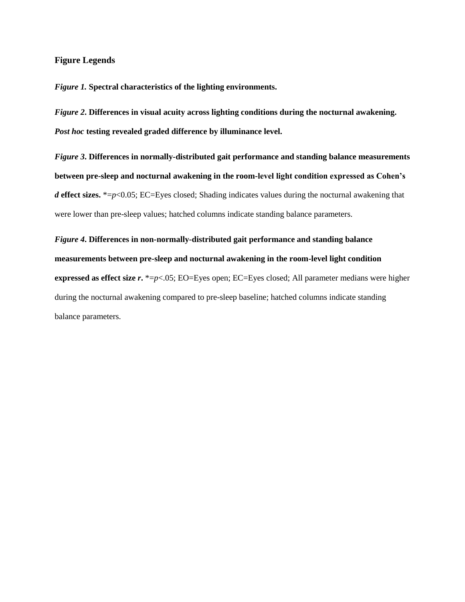#### **Figure Legends**

*Figure 1.* **Spectral characteristics of the lighting environments.**

*Figure 2***. Differences in visual acuity across lighting conditions during the nocturnal awakening.**  *Post hoc* **testing revealed graded difference by illuminance level.** 

*Figure 3***. Differences in normally-distributed gait performance and standing balance measurements between pre-sleep and nocturnal awakening in the room-level light condition expressed as Cohen's**  *d* effect sizes. \*=*p*<0.05; EC=Eyes closed; Shading indicates values during the nocturnal awakening that were lower than pre-sleep values; hatched columns indicate standing balance parameters.

## *Figure 4***. Differences in non-normally-distributed gait performance and standing balance measurements between pre-sleep and nocturnal awakening in the room-level light condition**

**expressed as effect size** *r***.** \*=*p*<.05; EO=Eyes open; EC=Eyes closed; All parameter medians were higher during the nocturnal awakening compared to pre-sleep baseline; hatched columns indicate standing balance parameters.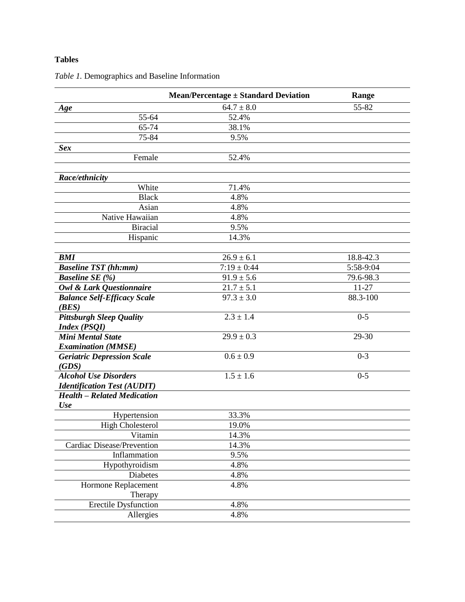## **Tables**

| $64.7 \pm 8.0$<br>55-82<br>$\overline{55-64}$<br>52.4%<br>65-74<br>38.1%<br>75-84<br>9.5%<br>Female<br>52.4%<br>Race/ethnicity<br>White<br>71.4%<br><b>Black</b><br>4.8%<br>4.8%<br>Asian<br>Native Hawaiian<br>4.8%<br><b>Biracial</b><br>9.5%<br>Hispanic<br>14.3%<br>18.8-42.3<br>$26.9 \pm 6.1$<br>$7:19 \pm 0:44$<br>5:58-9:04<br>$91.9 \pm 5.6$<br>79.6-98.3<br><b>Baseline SE</b> (%)<br>$21.7 \pm 5.1$<br>$11 - 27$<br><b>Owl &amp; Lark Questionnaire</b><br>$97.3 \pm 3.0$<br>88.3-100<br><b>Balance Self-Efficacy Scale</b><br>$2.3 \pm 1.4$<br>$0-5$<br><b>Pittsburgh Sleep Quality</b><br>$29.9 \pm 0.3$<br>29-30<br>$0.6 \pm 0.9$<br>$0 - 3$<br>$1.5 \pm 1.6$<br>$0 - 5$<br>33.3%<br>Hypertension<br><b>High Cholesterol</b><br>19.0%<br>Vitamin<br>14.3%<br>Cardiac Disease/Prevention<br>14.3%<br>9.5%<br>Inflammation<br>Hypothyroidism<br>4.8%<br><b>Diabetes</b><br>4.8%<br>Hormone Replacement<br>4.8%<br>Therapy |                                    | <b>Mean/Percentage ± Standard Deviation</b> | Range |
|---------------------------------------------------------------------------------------------------------------------------------------------------------------------------------------------------------------------------------------------------------------------------------------------------------------------------------------------------------------------------------------------------------------------------------------------------------------------------------------------------------------------------------------------------------------------------------------------------------------------------------------------------------------------------------------------------------------------------------------------------------------------------------------------------------------------------------------------------------------------------------------------------------------------------------------|------------------------------------|---------------------------------------------|-------|
|                                                                                                                                                                                                                                                                                                                                                                                                                                                                                                                                                                                                                                                                                                                                                                                                                                                                                                                                       | Age                                |                                             |       |
|                                                                                                                                                                                                                                                                                                                                                                                                                                                                                                                                                                                                                                                                                                                                                                                                                                                                                                                                       |                                    |                                             |       |
|                                                                                                                                                                                                                                                                                                                                                                                                                                                                                                                                                                                                                                                                                                                                                                                                                                                                                                                                       |                                    |                                             |       |
|                                                                                                                                                                                                                                                                                                                                                                                                                                                                                                                                                                                                                                                                                                                                                                                                                                                                                                                                       |                                    |                                             |       |
|                                                                                                                                                                                                                                                                                                                                                                                                                                                                                                                                                                                                                                                                                                                                                                                                                                                                                                                                       | <b>Sex</b>                         |                                             |       |
|                                                                                                                                                                                                                                                                                                                                                                                                                                                                                                                                                                                                                                                                                                                                                                                                                                                                                                                                       |                                    |                                             |       |
|                                                                                                                                                                                                                                                                                                                                                                                                                                                                                                                                                                                                                                                                                                                                                                                                                                                                                                                                       |                                    |                                             |       |
|                                                                                                                                                                                                                                                                                                                                                                                                                                                                                                                                                                                                                                                                                                                                                                                                                                                                                                                                       |                                    |                                             |       |
|                                                                                                                                                                                                                                                                                                                                                                                                                                                                                                                                                                                                                                                                                                                                                                                                                                                                                                                                       |                                    |                                             |       |
|                                                                                                                                                                                                                                                                                                                                                                                                                                                                                                                                                                                                                                                                                                                                                                                                                                                                                                                                       |                                    |                                             |       |
|                                                                                                                                                                                                                                                                                                                                                                                                                                                                                                                                                                                                                                                                                                                                                                                                                                                                                                                                       |                                    |                                             |       |
|                                                                                                                                                                                                                                                                                                                                                                                                                                                                                                                                                                                                                                                                                                                                                                                                                                                                                                                                       |                                    |                                             |       |
|                                                                                                                                                                                                                                                                                                                                                                                                                                                                                                                                                                                                                                                                                                                                                                                                                                                                                                                                       |                                    |                                             |       |
|                                                                                                                                                                                                                                                                                                                                                                                                                                                                                                                                                                                                                                                                                                                                                                                                                                                                                                                                       |                                    |                                             |       |
|                                                                                                                                                                                                                                                                                                                                                                                                                                                                                                                                                                                                                                                                                                                                                                                                                                                                                                                                       | <b>BMI</b>                         |                                             |       |
|                                                                                                                                                                                                                                                                                                                                                                                                                                                                                                                                                                                                                                                                                                                                                                                                                                                                                                                                       | <b>Baseline TST</b> (hh:mm)        |                                             |       |
|                                                                                                                                                                                                                                                                                                                                                                                                                                                                                                                                                                                                                                                                                                                                                                                                                                                                                                                                       |                                    |                                             |       |
|                                                                                                                                                                                                                                                                                                                                                                                                                                                                                                                                                                                                                                                                                                                                                                                                                                                                                                                                       |                                    |                                             |       |
|                                                                                                                                                                                                                                                                                                                                                                                                                                                                                                                                                                                                                                                                                                                                                                                                                                                                                                                                       |                                    |                                             |       |
|                                                                                                                                                                                                                                                                                                                                                                                                                                                                                                                                                                                                                                                                                                                                                                                                                                                                                                                                       | (BES)                              |                                             |       |
|                                                                                                                                                                                                                                                                                                                                                                                                                                                                                                                                                                                                                                                                                                                                                                                                                                                                                                                                       |                                    |                                             |       |
|                                                                                                                                                                                                                                                                                                                                                                                                                                                                                                                                                                                                                                                                                                                                                                                                                                                                                                                                       | <b>Index (PSQI)</b>                |                                             |       |
|                                                                                                                                                                                                                                                                                                                                                                                                                                                                                                                                                                                                                                                                                                                                                                                                                                                                                                                                       | <b>Mini Mental State</b>           |                                             |       |
|                                                                                                                                                                                                                                                                                                                                                                                                                                                                                                                                                                                                                                                                                                                                                                                                                                                                                                                                       | <b>Examination</b> (MMSE)          |                                             |       |
|                                                                                                                                                                                                                                                                                                                                                                                                                                                                                                                                                                                                                                                                                                                                                                                                                                                                                                                                       | <b>Geriatric Depression Scale</b>  |                                             |       |
|                                                                                                                                                                                                                                                                                                                                                                                                                                                                                                                                                                                                                                                                                                                                                                                                                                                                                                                                       | (GDS)                              |                                             |       |
|                                                                                                                                                                                                                                                                                                                                                                                                                                                                                                                                                                                                                                                                                                                                                                                                                                                                                                                                       | <b>Alcohol Use Disorders</b>       |                                             |       |
|                                                                                                                                                                                                                                                                                                                                                                                                                                                                                                                                                                                                                                                                                                                                                                                                                                                                                                                                       | <b>Identification Test (AUDIT)</b> |                                             |       |
|                                                                                                                                                                                                                                                                                                                                                                                                                                                                                                                                                                                                                                                                                                                                                                                                                                                                                                                                       | <b>Health - Related Medication</b> |                                             |       |
|                                                                                                                                                                                                                                                                                                                                                                                                                                                                                                                                                                                                                                                                                                                                                                                                                                                                                                                                       | <b>Use</b>                         |                                             |       |
|                                                                                                                                                                                                                                                                                                                                                                                                                                                                                                                                                                                                                                                                                                                                                                                                                                                                                                                                       |                                    |                                             |       |
|                                                                                                                                                                                                                                                                                                                                                                                                                                                                                                                                                                                                                                                                                                                                                                                                                                                                                                                                       |                                    |                                             |       |
|                                                                                                                                                                                                                                                                                                                                                                                                                                                                                                                                                                                                                                                                                                                                                                                                                                                                                                                                       |                                    |                                             |       |
|                                                                                                                                                                                                                                                                                                                                                                                                                                                                                                                                                                                                                                                                                                                                                                                                                                                                                                                                       |                                    |                                             |       |
|                                                                                                                                                                                                                                                                                                                                                                                                                                                                                                                                                                                                                                                                                                                                                                                                                                                                                                                                       |                                    |                                             |       |
|                                                                                                                                                                                                                                                                                                                                                                                                                                                                                                                                                                                                                                                                                                                                                                                                                                                                                                                                       |                                    |                                             |       |
|                                                                                                                                                                                                                                                                                                                                                                                                                                                                                                                                                                                                                                                                                                                                                                                                                                                                                                                                       |                                    |                                             |       |
|                                                                                                                                                                                                                                                                                                                                                                                                                                                                                                                                                                                                                                                                                                                                                                                                                                                                                                                                       |                                    |                                             |       |
|                                                                                                                                                                                                                                                                                                                                                                                                                                                                                                                                                                                                                                                                                                                                                                                                                                                                                                                                       |                                    |                                             |       |
|                                                                                                                                                                                                                                                                                                                                                                                                                                                                                                                                                                                                                                                                                                                                                                                                                                                                                                                                       | <b>Erectile Dysfunction</b>        | 4.8%                                        |       |
| Allergies<br>4.8%                                                                                                                                                                                                                                                                                                                                                                                                                                                                                                                                                                                                                                                                                                                                                                                                                                                                                                                     |                                    |                                             |       |

## *Table 1.* Demographics and Baseline Information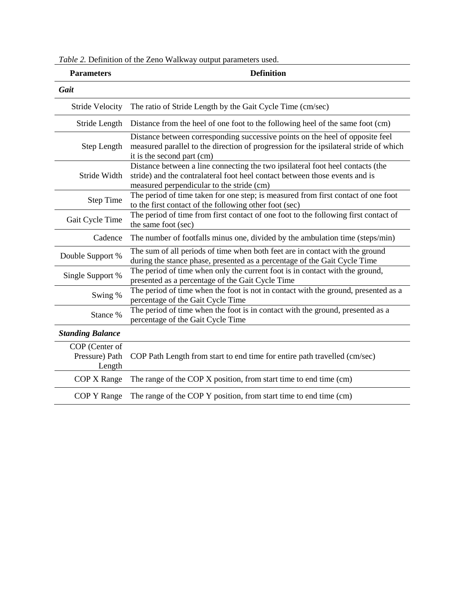*Table 2.* Definition of the Zeno Walkway output parameters used.

| <b>Parameters</b>                                                                                                                                    | <b>Definition</b>                                                                                                                                                                                          |  |  |
|------------------------------------------------------------------------------------------------------------------------------------------------------|------------------------------------------------------------------------------------------------------------------------------------------------------------------------------------------------------------|--|--|
| Gait                                                                                                                                                 |                                                                                                                                                                                                            |  |  |
| <b>Stride Velocity</b>                                                                                                                               | The ratio of Stride Length by the Gait Cycle Time (cm/sec)                                                                                                                                                 |  |  |
| Stride Length                                                                                                                                        | Distance from the heel of one foot to the following heel of the same foot (cm)                                                                                                                             |  |  |
| Step Length                                                                                                                                          | Distance between corresponding successive points on the heel of opposite feel<br>measured parallel to the direction of progression for the ipsilateral stride of which<br>it is the second part (cm)       |  |  |
| Stride Width                                                                                                                                         | Distance between a line connecting the two ipsilateral foot heel contacts (the<br>stride) and the contralateral foot heel contact between those events and is<br>measured perpendicular to the stride (cm) |  |  |
| <b>Step Time</b>                                                                                                                                     | The period of time taken for one step; is measured from first contact of one foot<br>to the first contact of the following other foot (sec)                                                                |  |  |
| The period of time from first contact of one foot to the following first contact of<br>Gait Cycle Time<br>the same foot (sec)                        |                                                                                                                                                                                                            |  |  |
| Cadence                                                                                                                                              | The number of footfalls minus one, divided by the ambulation time (steps/min)                                                                                                                              |  |  |
| Double Support %                                                                                                                                     | The sum of all periods of time when both feet are in contact with the ground<br>during the stance phase, presented as a percentage of the Gait Cycle Time                                                  |  |  |
| The period of time when only the current foot is in contact with the ground,<br>Single Support %<br>presented as a percentage of the Gait Cycle Time |                                                                                                                                                                                                            |  |  |
| Swing %                                                                                                                                              | The period of time when the foot is not in contact with the ground, presented as a<br>percentage of the Gait Cycle Time                                                                                    |  |  |
| Stance %                                                                                                                                             | The period of time when the foot is in contact with the ground, presented as a<br>percentage of the Gait Cycle Time                                                                                        |  |  |
| <b>Standing Balance</b>                                                                                                                              |                                                                                                                                                                                                            |  |  |
| COP (Center of<br>Pressure) Path<br>Length                                                                                                           | COP Path Length from start to end time for entire path travelled (cm/sec)                                                                                                                                  |  |  |
| COP X Range                                                                                                                                          | The range of the COP X position, from start time to end time (cm)                                                                                                                                          |  |  |
| COP Y Range                                                                                                                                          | The range of the COP Y position, from start time to end time (cm)                                                                                                                                          |  |  |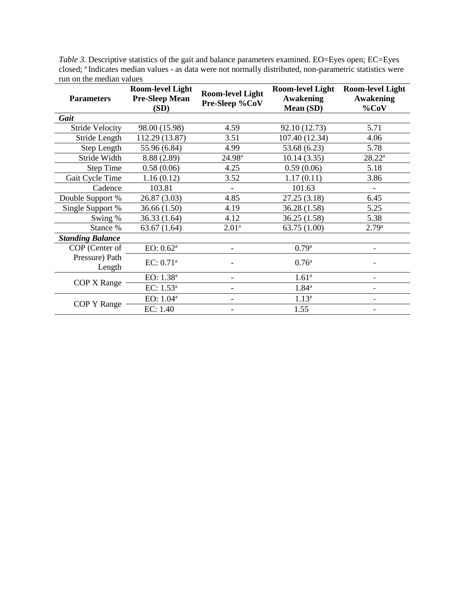| <b>Parameters</b>        | <b>Room-level Light</b><br><b>Pre-Sleep Mean</b><br>(SD) | <b>Room-level Light</b><br>Pre-Sleep %CoV | <b>Room-level Light</b><br><b>Awakening</b><br>Mean (SD) | <b>Room-level Light</b><br><b>Awakening</b><br>$%$ CoV |
|--------------------------|----------------------------------------------------------|-------------------------------------------|----------------------------------------------------------|--------------------------------------------------------|
| Gait                     |                                                          |                                           |                                                          |                                                        |
| <b>Stride Velocity</b>   | 98.00 (15.98)                                            | 4.59                                      | 92.10 (12.73)                                            | 5.71                                                   |
| Stride Length            | 112.29 (13.87)                                           | 3.51                                      | 107.40 (12.34)                                           | 4.06                                                   |
| Step Length              | 55.96 (6.84)                                             | 4.99                                      | 53.68 (6.23)                                             | 5.78                                                   |
| Stride Width             | 8.88 (2.89)                                              | $24.98^{\rm a}$                           | 10.14(3.35)                                              | $28.22^a$                                              |
| <b>Step Time</b>         | 0.58(0.06)                                               | 4.25                                      | 0.59(0.06)                                               | 5.18                                                   |
| Gait Cycle Time          | 1.16(0.12)                                               | 3.52                                      | 1.17(0.11)                                               | 3.86                                                   |
| Cadence                  | 103.81                                                   |                                           | 101.63                                                   |                                                        |
| Double Support %         | 26.87 (3.03)                                             | 4.85                                      | 27.25(3.18)                                              | 6.45                                                   |
| Single Support %         | 36.66 (1.50)                                             | 4.19                                      | 36.28 (1.58)                                             | 5.25                                                   |
| Swing %                  | 36.33 (1.64)                                             | 4.12                                      | 36.25(1.58)                                              | 5.38                                                   |
| Stance %                 | 63.67(1.64)                                              | 2.01 <sup>a</sup>                         | 63.75 (1.00)                                             | 2.79a                                                  |
| <b>Standing Balance</b>  |                                                          |                                           |                                                          |                                                        |
| COP (Center of           | EO: 0.62 <sup>a</sup>                                    |                                           | 0.79a                                                    |                                                        |
| Pressure) Path<br>Length | EC: 0.71 <sup>a</sup>                                    |                                           | $0.76^{\rm a}$                                           |                                                        |
| COP X Range              | EO: 1.38 <sup>a</sup>                                    |                                           | 1.61 <sup>a</sup>                                        |                                                        |
|                          | EC: $1.53^a$                                             |                                           | $1.84^{\rm a}$                                           |                                                        |
|                          | EO: 1.04 <sup>a</sup>                                    |                                           | $1.13^{a}$                                               |                                                        |
| COP Y Range              | EC: 1.40                                                 |                                           | 1.55                                                     | -                                                      |

*Table 3.* Descriptive statistics of the gait and balance parameters examined. EO=Eyes open; EC=Eyes closed; <sup>a</sup> Indicates median values - as data were not normally distributed, non-parametric statistics were run on the median values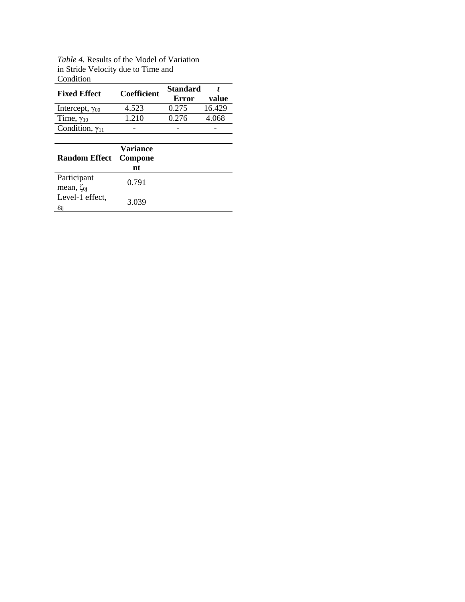| Table 4. Results of the Model of Variation |
|--------------------------------------------|
| in Stride Velocity due to Time and         |
| Condition                                  |

| Condition                             |                           |                          |        |
|---------------------------------------|---------------------------|--------------------------|--------|
| <b>Fixed Effect</b>                   | <b>Coefficient</b>        | <b>Standard</b><br>Error | value  |
| Intercept, $\gamma_{00}$              | 4.523                     | 0.275                    | 16.429 |
| Time, $\gamma_{10}$                   | 1.210                     | 0.276                    | 4.068  |
| Condition, $\gamma_{11}$              |                           |                          |        |
|                                       |                           |                          |        |
| <b>Random Effect</b>                  | Variance<br>Compone<br>nt |                          |        |
| Participant<br>mean, $\zeta_{0i}$     | 0.791                     |                          |        |
| Level-1 effect,<br>$\varepsilon_{ij}$ | 3.039                     |                          |        |
|                                       |                           |                          |        |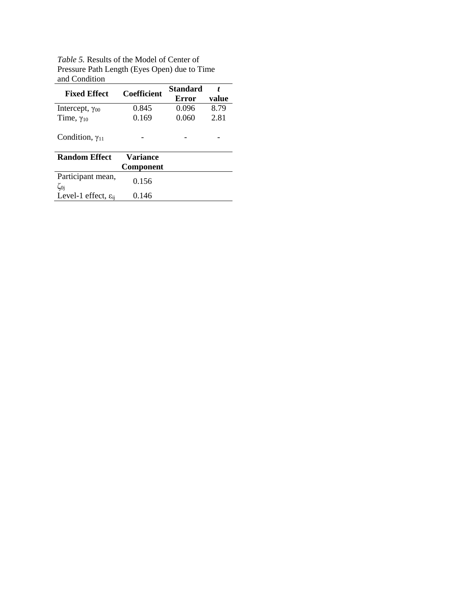*Table 5.* Results of the Model of Center of Pressure Path Length (Eyes Open) due to Time and Condition

| and Condition                      |                    |                          |            |
|------------------------------------|--------------------|--------------------------|------------|
| <b>Fixed Effect</b>                | <b>Coefficient</b> | <b>Standard</b><br>Error | t<br>value |
|                                    |                    |                          | 8.79       |
| Intercept, $\gamma_{00}$           | 0.845              | 0.096                    |            |
| Time, $\gamma_{10}$                | 0.169              | 0.060                    | 2.81       |
| Condition, $\gamma_{11}$           |                    |                          |            |
| <b>Random Effect</b>               | <b>Variance</b>    |                          |            |
|                                    | <b>Component</b>   |                          |            |
| Participant mean,<br>$\zeta_{0i}$  | 0.156              |                          |            |
| Level-1 effect, $\varepsilon_{ii}$ | 0.146              |                          |            |
|                                    |                    |                          |            |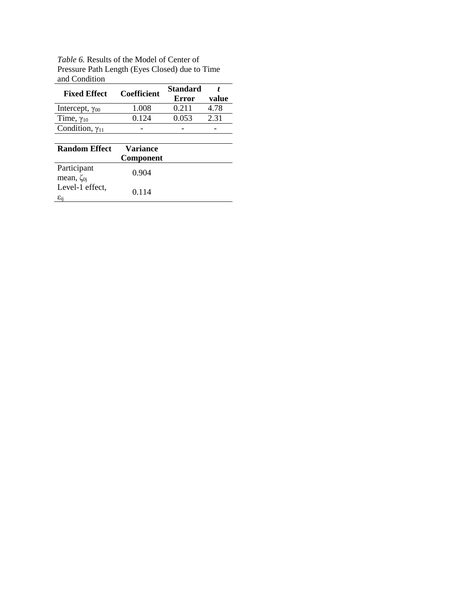*Table 6.* Results of the Model of Center of Pressure Path Length (Eyes Closed) due to Time and Condition

| and Condition            |                    |                 |       |
|--------------------------|--------------------|-----------------|-------|
| <b>Fixed Effect</b>      | <b>Coefficient</b> | <b>Standard</b> |       |
|                          |                    | Error           | value |
| Intercept, $\gamma_{00}$ | 1.008              | 0.211           | 4.78  |
| Time, $\gamma_{10}$      | 0.124              | 0.053           | 2.31  |
| Condition, $\gamma_{11}$ |                    |                 |       |
|                          |                    |                 |       |

| <b>Random Effect</b>                      | Variance<br><b>Component</b> |  |
|-------------------------------------------|------------------------------|--|
| Participant<br>mean, $\zeta_{0i}$         | 0.904                        |  |
| Level-1 effect,<br>$\varepsilon_{\rm ii}$ | 0.114                        |  |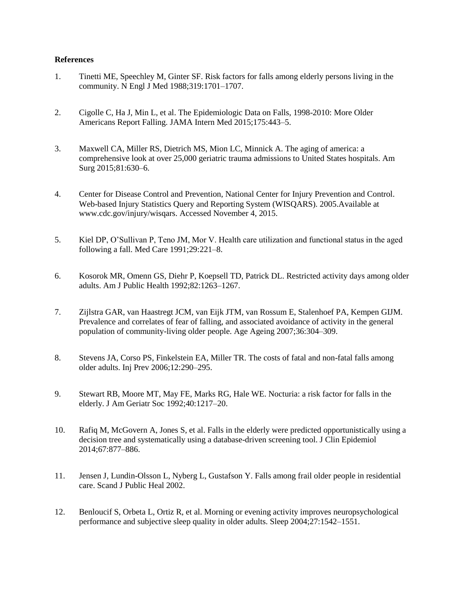#### **References**

- 1. Tinetti ME, Speechley M, Ginter SF. Risk factors for falls among elderly persons living in the community. N Engl J Med 1988;319:1701–1707.
- 2. Cigolle C, Ha J, Min L, et al. The Epidemiologic Data on Falls, 1998-2010: More Older Americans Report Falling. JAMA Intern Med 2015;175:443–5.
- 3. Maxwell CA, Miller RS, Dietrich MS, Mion LC, Minnick A. The aging of america: a comprehensive look at over 25,000 geriatric trauma admissions to United States hospitals. Am Surg 2015;81:630–6.
- 4. Center for Disease Control and Prevention, National Center for Injury Prevention and Control. Web-based Injury Statistics Query and Reporting System (WISQARS). 2005.Available at www.cdc.gov/injury/wisqars. Accessed November 4, 2015.
- 5. Kiel DP, O'Sullivan P, Teno JM, Mor V. Health care utilization and functional status in the aged following a fall. Med Care 1991;29:221–8.
- 6. Kosorok MR, Omenn GS, Diehr P, Koepsell TD, Patrick DL. Restricted activity days among older adults. Am J Public Health 1992;82:1263–1267.
- 7. Zijlstra GAR, van Haastregt JCM, van Eijk JTM, van Rossum E, Stalenhoef PA, Kempen GIJM. Prevalence and correlates of fear of falling, and associated avoidance of activity in the general population of community-living older people. Age Ageing 2007;36:304–309.
- 8. Stevens JA, Corso PS, Finkelstein EA, Miller TR. The costs of fatal and non-fatal falls among older adults. Inj Prev 2006;12:290–295.
- 9. Stewart RB, Moore MT, May FE, Marks RG, Hale WE. Nocturia: a risk factor for falls in the elderly. J Am Geriatr Soc 1992;40:1217–20.
- 10. Rafiq M, McGovern A, Jones S, et al. Falls in the elderly were predicted opportunistically using a decision tree and systematically using a database-driven screening tool. J Clin Epidemiol 2014;67:877–886.
- 11. Jensen J, Lundin-Olsson L, Nyberg L, Gustafson Y. Falls among frail older people in residential care. Scand J Public Heal 2002.
- 12. Benloucif S, Orbeta L, Ortiz R, et al. Morning or evening activity improves neuropsychological performance and subjective sleep quality in older adults. Sleep 2004;27:1542–1551.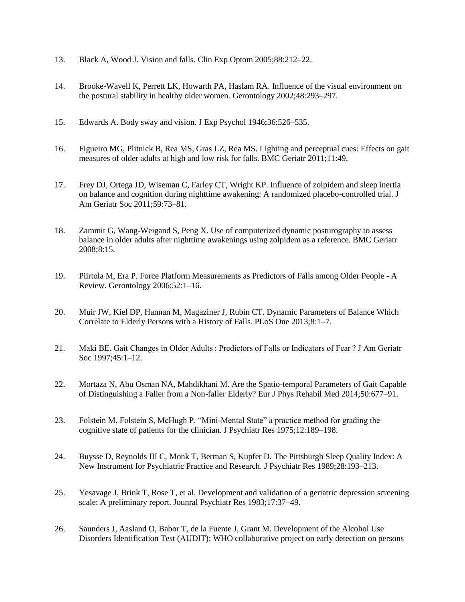- 13. Black A, Wood J. Vision and falls. Clin Exp Optom 2005;88:212–22.
- 14. Brooke-Wavell K, Perrett LK, Howarth PA, Haslam RA. Influence of the visual environment on the postural stability in healthy older women. Gerontology 2002;48:293–297.
- 15. Edwards A. Body sway and vision. J Exp Psychol 1946;36:526–535.
- 16. Figueiro MG, Plitnick B, Rea MS, Gras LZ, Rea MS. Lighting and perceptual cues: Effects on gait measures of older adults at high and low risk for falls. BMC Geriatr 2011;11:49.
- 17. Frey DJ, Ortega JD, Wiseman C, Farley CT, Wright KP. Influence of zolpidem and sleep inertia on balance and cognition during nighttime awakening: A randomized placebo-controlled trial. J Am Geriatr Soc 2011;59:73–81.
- 18. Zammit G, Wang-Weigand S, Peng X. Use of computerized dynamic posturography to assess balance in older adults after nighttime awakenings using zolpidem as a reference. BMC Geriatr 2008;8:15.
- 19. Piirtola M, Era P. Force Platform Measurements as Predictors of Falls among Older People A Review. Gerontology 2006;52:1–16.
- 20. Muir JW, Kiel DP, Hannan M, Magaziner J, Rubin CT. Dynamic Parameters of Balance Which Correlate to Elderly Persons with a History of Falls. PLoS One 2013;8:1–7.
- 21. Maki BE. Gait Changes in Older Adults : Predictors of Falls or Indicators of Fear ? J Am Geriatr Soc 1997;45:1–12.
- 22. Mortaza N, Abu Osman NA, Mahdikhani M. Are the Spatio-temporal Parameters of Gait Capable of Distinguishing a Faller from a Non-faller Elderly? Eur J Phys Rehabil Med 2014;50:677–91.
- 23. Folstein M, Folstein S, McHugh P. "Mini-Mental State" a practice method for grading the cognitive state of patients for the clinician. J Psychiatr Res 1975;12:189–198.
- 24. Buysse D, Reynolds III C, Monk T, Berman S, Kupfer D. The Pittsburgh Sleep Quality Index: A New Instrument for Psychiatric Practice and Research. J Psychiatr Res 1989;28:193–213.
- 25. Yesavage J, Brink T, Rose T, et al. Development and validation of a geriatric depression screening scale: A preliminary report. Jounral Psychiatr Res 1983;17:37–49.
- 26. Saunders J, Aasland O, Babor T, de la Fuente J, Grant M. Development of the Alcohol Use Disorders Identification Test (AUDIT): WHO collaborative project on early detection on persons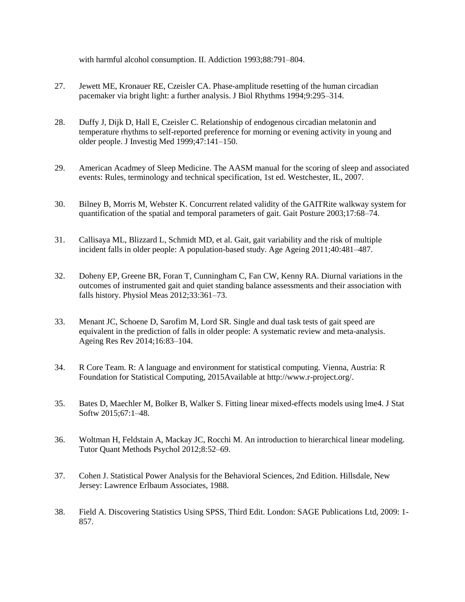with harmful alcohol consumption. II. Addiction 1993;88:791–804.

- 27. Jewett ME, Kronauer RE, Czeisler CA. Phase-amplitude resetting of the human circadian pacemaker via bright light: a further analysis. J Biol Rhythms 1994;9:295–314.
- 28. Duffy J, Dijk D, Hall E, Czeisler C. Relationship of endogenous circadian melatonin and temperature rhythms to self-reported preference for morning or evening activity in young and older people. J Investig Med 1999;47:141–150.
- 29. American Acadmey of Sleep Medicine. The AASM manual for the scoring of sleep and associated events: Rules, terminology and technical specification, 1st ed. Westchester, IL, 2007.
- 30. Bilney B, Morris M, Webster K. Concurrent related validity of the GAITRite walkway system for quantification of the spatial and temporal parameters of gait. Gait Posture 2003;17:68–74.
- 31. Callisaya ML, Blizzard L, Schmidt MD, et al. Gait, gait variability and the risk of multiple incident falls in older people: A population-based study. Age Ageing 2011;40:481–487.
- 32. Doheny EP, Greene BR, Foran T, Cunningham C, Fan CW, Kenny RA. Diurnal variations in the outcomes of instrumented gait and quiet standing balance assessments and their association with falls history. Physiol Meas 2012;33:361–73.
- 33. Menant JC, Schoene D, Sarofim M, Lord SR. Single and dual task tests of gait speed are equivalent in the prediction of falls in older people: A systematic review and meta-analysis. Ageing Res Rev 2014;16:83–104.
- 34. R Core Team. R: A language and environment for statistical computing. Vienna, Austria: R Foundation for Statistical Computing, 2015Available at http://www.r-project.org/.
- 35. Bates D, Maechler M, Bolker B, Walker S. Fitting linear mixed-effects models using lme4. J Stat Softw 2015;67:1–48.
- 36. Woltman H, Feldstain A, Mackay JC, Rocchi M. An introduction to hierarchical linear modeling. Tutor Quant Methods Psychol 2012;8:52–69.
- 37. Cohen J. Statistical Power Analysis for the Behavioral Sciences, 2nd Edition. Hillsdale, New Jersey: Lawrence Erlbaum Associates, 1988.
- 38. Field A. Discovering Statistics Using SPSS, Third Edit. London: SAGE Publications Ltd, 2009: 1- 857.